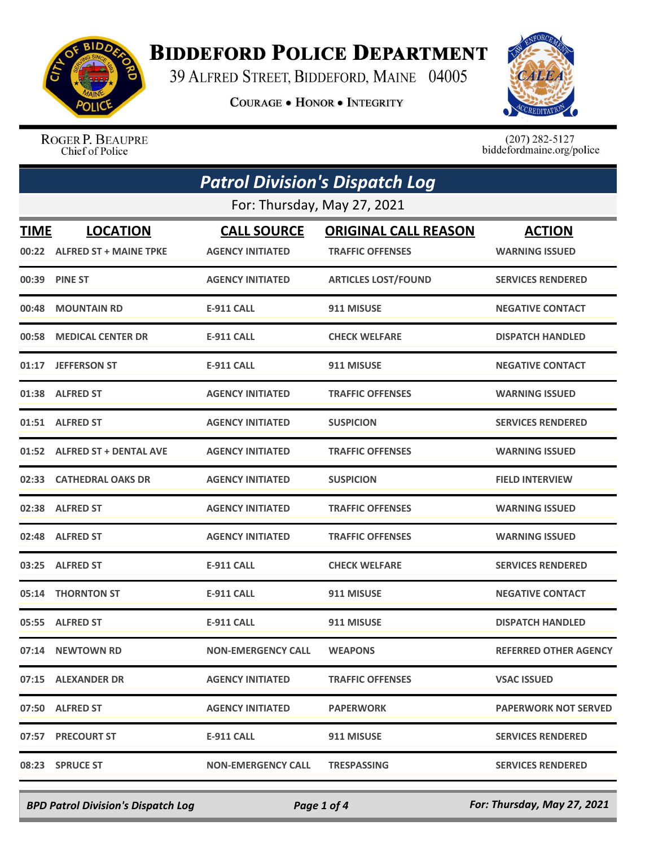

## **BIDDEFORD POLICE DEPARTMENT**

39 ALFRED STREET, BIDDEFORD, MAINE 04005

**COURAGE . HONOR . INTEGRITY** 



ROGER P. BEAUPRE Chief of Police

 $(207)$  282-5127<br>biddefordmaine.org/police

| <b>Patrol Division's Dispatch Log</b> |                                                 |                                               |                                                        |                                        |  |  |
|---------------------------------------|-------------------------------------------------|-----------------------------------------------|--------------------------------------------------------|----------------------------------------|--|--|
|                                       | For: Thursday, May 27, 2021                     |                                               |                                                        |                                        |  |  |
| <b>TIME</b>                           | <b>LOCATION</b><br>00:22 ALFRED ST + MAINE TPKE | <b>CALL SOURCE</b><br><b>AGENCY INITIATED</b> | <b>ORIGINAL CALL REASON</b><br><b>TRAFFIC OFFENSES</b> | <b>ACTION</b><br><b>WARNING ISSUED</b> |  |  |
|                                       | 00:39 PINE ST                                   | <b>AGENCY INITIATED</b>                       | <b>ARTICLES LOST/FOUND</b>                             | <b>SERVICES RENDERED</b>               |  |  |
|                                       | 00:48 MOUNTAIN RD                               | <b>E-911 CALL</b>                             | 911 MISUSE                                             | <b>NEGATIVE CONTACT</b>                |  |  |
|                                       | 00:58 MEDICAL CENTER DR                         | <b>E-911 CALL</b>                             | <b>CHECK WELFARE</b>                                   | <b>DISPATCH HANDLED</b>                |  |  |
|                                       | 01:17 JEFFERSON ST                              | <b>E-911 CALL</b>                             | 911 MISUSE                                             | <b>NEGATIVE CONTACT</b>                |  |  |
|                                       | 01:38 ALFRED ST                                 | <b>AGENCY INITIATED</b>                       | <b>TRAFFIC OFFENSES</b>                                | <b>WARNING ISSUED</b>                  |  |  |
|                                       | 01:51 ALFRED ST                                 | <b>AGENCY INITIATED</b>                       | <b>SUSPICION</b>                                       | <b>SERVICES RENDERED</b>               |  |  |
|                                       | 01:52 ALFRED ST + DENTAL AVE                    | <b>AGENCY INITIATED</b>                       | <b>TRAFFIC OFFENSES</b>                                | <b>WARNING ISSUED</b>                  |  |  |
|                                       | 02:33 CATHEDRAL OAKS DR                         | <b>AGENCY INITIATED</b>                       | <b>SUSPICION</b>                                       | <b>FIELD INTERVIEW</b>                 |  |  |
|                                       | 02:38 ALFRED ST                                 | <b>AGENCY INITIATED</b>                       | <b>TRAFFIC OFFENSES</b>                                | <b>WARNING ISSUED</b>                  |  |  |
|                                       | 02:48 ALFRED ST                                 | <b>AGENCY INITIATED</b>                       | <b>TRAFFIC OFFENSES</b>                                | <b>WARNING ISSUED</b>                  |  |  |
|                                       | 03:25 ALFRED ST                                 | <b>E-911 CALL</b>                             | <b>CHECK WELFARE</b>                                   | <b>SERVICES RENDERED</b>               |  |  |
|                                       | 05:14 THORNTON ST                               | <b>E-911 CALL</b>                             | 911 MISUSE                                             | <b>NEGATIVE CONTACT</b>                |  |  |
|                                       | 05:55 ALFRED ST                                 | <b>E-911 CALL</b>                             | 911 MISUSE                                             | <b>DISPATCH HANDLED</b>                |  |  |
|                                       | 07:14 NEWTOWN RD                                | <b>NON-EMERGENCY CALL</b>                     | <b>WEAPONS</b>                                         | <b>REFERRED OTHER AGENCY</b>           |  |  |
|                                       | 07:15 ALEXANDER DR                              | <b>AGENCY INITIATED</b>                       | <b>TRAFFIC OFFENSES</b>                                | <b>VSAC ISSUED</b>                     |  |  |
|                                       | 07:50 ALFRED ST                                 | <b>AGENCY INITIATED</b>                       | <b>PAPERWORK</b>                                       | <b>PAPERWORK NOT SERVED</b>            |  |  |
|                                       | 07:57 PRECOURT ST                               | <b>E-911 CALL</b>                             | 911 MISUSE                                             | <b>SERVICES RENDERED</b>               |  |  |
|                                       | 08:23 SPRUCE ST                                 | <b>NON-EMERGENCY CALL</b>                     | <b>TRESPASSING</b>                                     | <b>SERVICES RENDERED</b>               |  |  |

*BPD Patrol Division's Dispatch Log Page 1 of 4 For: Thursday, May 27, 2021*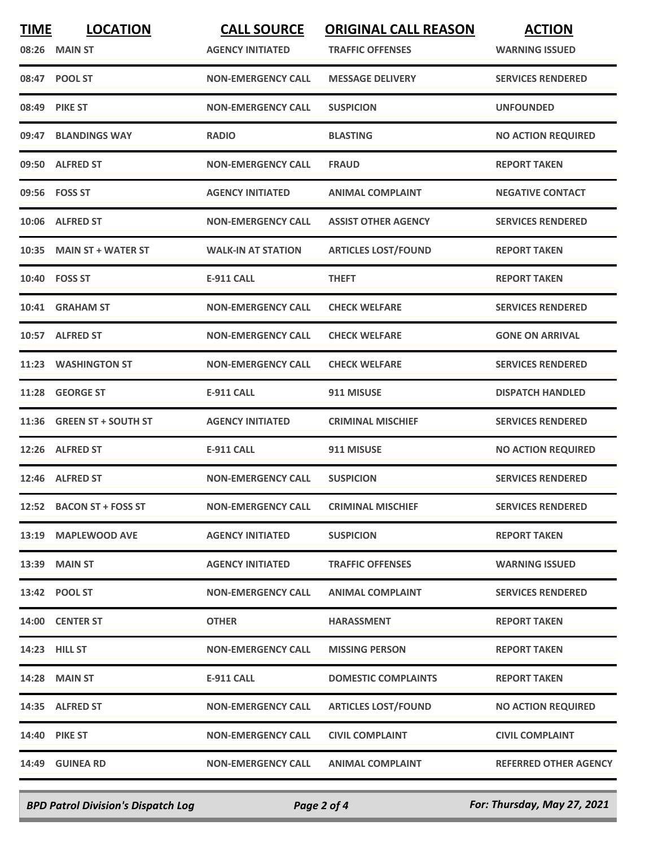| <b>TIME</b><br>08:26 | <b>LOCATION</b><br><b>MAIN ST</b> | <b>CALL SOURCE</b><br><b>AGENCY INITIATED</b> | <b>ORIGINAL CALL REASON</b><br><b>TRAFFIC OFFENSES</b> | <b>ACTION</b><br><b>WARNING ISSUED</b> |
|----------------------|-----------------------------------|-----------------------------------------------|--------------------------------------------------------|----------------------------------------|
|                      | 08:47 POOL ST                     | <b>NON-EMERGENCY CALL</b>                     | <b>MESSAGE DELIVERY</b>                                | <b>SERVICES RENDERED</b>               |
|                      | 08:49 PIKE ST                     | <b>NON-EMERGENCY CALL</b>                     | <b>SUSPICION</b>                                       | <b>UNFOUNDED</b>                       |
|                      | 09:47 BLANDINGS WAY               | <b>RADIO</b>                                  | <b>BLASTING</b>                                        | <b>NO ACTION REQUIRED</b>              |
|                      | 09:50 ALFRED ST                   | <b>NON-EMERGENCY CALL</b>                     | <b>FRAUD</b>                                           | <b>REPORT TAKEN</b>                    |
|                      | 09:56 FOSS ST                     | <b>AGENCY INITIATED</b>                       | <b>ANIMAL COMPLAINT</b>                                | <b>NEGATIVE CONTACT</b>                |
|                      | 10:06 ALFRED ST                   | <b>NON-EMERGENCY CALL</b>                     | <b>ASSIST OTHER AGENCY</b>                             | <b>SERVICES RENDERED</b>               |
|                      | 10:35 MAIN ST + WATER ST          | <b>WALK-IN AT STATION</b>                     | <b>ARTICLES LOST/FOUND</b>                             | <b>REPORT TAKEN</b>                    |
|                      | 10:40 FOSS ST                     | <b>E-911 CALL</b>                             | <b>THEFT</b>                                           | <b>REPORT TAKEN</b>                    |
|                      | 10:41 GRAHAM ST                   | <b>NON-EMERGENCY CALL</b>                     | <b>CHECK WELFARE</b>                                   | <b>SERVICES RENDERED</b>               |
|                      | 10:57 ALFRED ST                   | <b>NON-EMERGENCY CALL</b>                     | <b>CHECK WELFARE</b>                                   | <b>GONE ON ARRIVAL</b>                 |
| 11:23                | <b>WASHINGTON ST</b>              | <b>NON-EMERGENCY CALL</b>                     | <b>CHECK WELFARE</b>                                   | <b>SERVICES RENDERED</b>               |
| 11:28                | <b>GEORGE ST</b>                  | <b>E-911 CALL</b>                             | 911 MISUSE                                             | <b>DISPATCH HANDLED</b>                |
| 11:36                | <b>GREEN ST + SOUTH ST</b>        | <b>AGENCY INITIATED</b>                       | <b>CRIMINAL MISCHIEF</b>                               | <b>SERVICES RENDERED</b>               |
| 12:26                | <b>ALFRED ST</b>                  | <b>E-911 CALL</b>                             | 911 MISUSE                                             | <b>NO ACTION REQUIRED</b>              |
|                      | 12:46 ALFRED ST                   | <b>NON-EMERGENCY CALL</b>                     | <b>SUSPICION</b>                                       | <b>SERVICES RENDERED</b>               |
|                      | 12:52 BACON ST + FOSS ST          | <b>NON-EMERGENCY CALL</b>                     | <b>CRIMINAL MISCHIEF</b>                               | <b>SERVICES RENDERED</b>               |
|                      | 13:19 MAPLEWOOD AVE               | <b>AGENCY INITIATED</b>                       | <b>SUSPICION</b>                                       | <b>REPORT TAKEN</b>                    |
|                      | 13:39 MAIN ST                     | <b>AGENCY INITIATED</b>                       | <b>TRAFFIC OFFENSES</b>                                | <b>WARNING ISSUED</b>                  |
|                      | 13:42 POOL ST                     | <b>NON-EMERGENCY CALL</b>                     | <b>ANIMAL COMPLAINT</b>                                | <b>SERVICES RENDERED</b>               |
|                      | 14:00 CENTER ST                   | <b>OTHER</b>                                  | <b>HARASSMENT</b>                                      | <b>REPORT TAKEN</b>                    |
|                      | 14:23 HILL ST                     | <b>NON-EMERGENCY CALL</b>                     | <b>MISSING PERSON</b>                                  | <b>REPORT TAKEN</b>                    |
|                      | <b>14:28 MAIN ST</b>              | E-911 CALL                                    | <b>DOMESTIC COMPLAINTS</b>                             | <b>REPORT TAKEN</b>                    |
|                      | 14:35 ALFRED ST                   | <b>NON-EMERGENCY CALL</b>                     | <b>ARTICLES LOST/FOUND</b>                             | <b>NO ACTION REQUIRED</b>              |
|                      | <b>14:40 PIKE ST</b>              | <b>NON-EMERGENCY CALL</b>                     | <b>CIVIL COMPLAINT</b>                                 | <b>CIVIL COMPLAINT</b>                 |
|                      | 14:49 GUINEA RD                   | <b>NON-EMERGENCY CALL</b>                     | <b>ANIMAL COMPLAINT</b>                                | <b>REFERRED OTHER AGENCY</b>           |
|                      |                                   |                                               |                                                        |                                        |

*BPD Patrol Division's Dispatch Log Page 2 of 4 For: Thursday, May 27, 2021*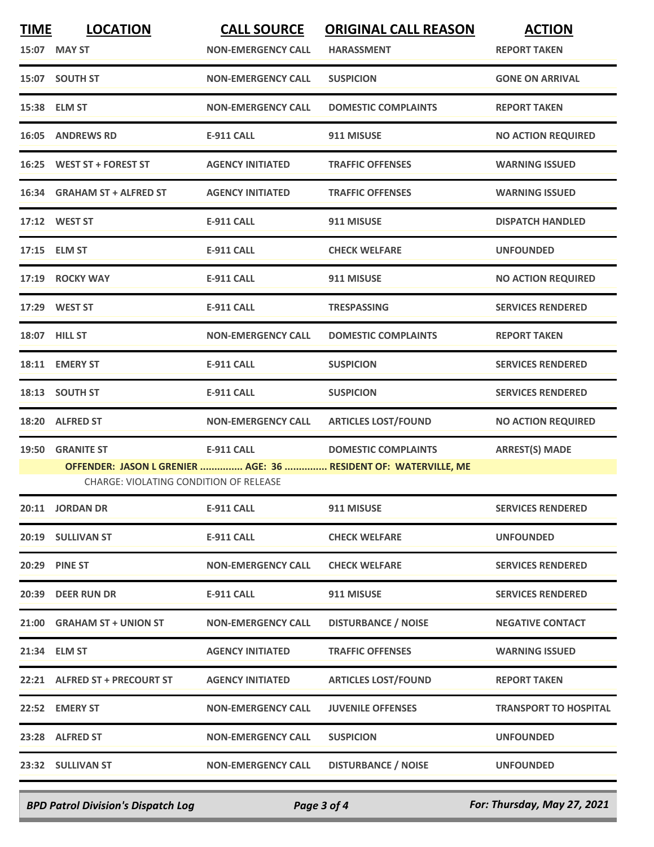| <b>TIME</b> | <b>LOCATION</b>                                                   | <b>CALL SOURCE</b>        | <b>ORIGINAL CALL REASON</b>                                                                   | <b>ACTION</b>                |
|-------------|-------------------------------------------------------------------|---------------------------|-----------------------------------------------------------------------------------------------|------------------------------|
|             | 15:07 MAY ST                                                      | <b>NON-EMERGENCY CALL</b> | <b>HARASSMENT</b>                                                                             | <b>REPORT TAKEN</b>          |
|             | 15:07 SOUTH ST                                                    | <b>NON-EMERGENCY CALL</b> | <b>SUSPICION</b>                                                                              | <b>GONE ON ARRIVAL</b>       |
|             | 15:38 ELM ST                                                      | <b>NON-EMERGENCY CALL</b> | <b>DOMESTIC COMPLAINTS</b>                                                                    | <b>REPORT TAKEN</b>          |
|             | <b>16:05 ANDREWS RD</b>                                           | <b>E-911 CALL</b>         | 911 MISUSE                                                                                    | <b>NO ACTION REQUIRED</b>    |
|             | 16:25 WEST ST + FOREST ST                                         | <b>AGENCY INITIATED</b>   | <b>TRAFFIC OFFENSES</b>                                                                       | <b>WARNING ISSUED</b>        |
|             | 16:34 GRAHAM ST + ALFRED ST                                       | <b>AGENCY INITIATED</b>   | <b>TRAFFIC OFFENSES</b>                                                                       | <b>WARNING ISSUED</b>        |
|             | 17:12 WEST ST                                                     | E-911 CALL                | 911 MISUSE                                                                                    | <b>DISPATCH HANDLED</b>      |
|             | 17:15 ELM ST                                                      | E-911 CALL                | <b>CHECK WELFARE</b>                                                                          | <b>UNFOUNDED</b>             |
|             | 17:19 ROCKY WAY                                                   | <b>E-911 CALL</b>         | 911 MISUSE                                                                                    | <b>NO ACTION REQUIRED</b>    |
|             | 17:29 WEST ST                                                     | <b>E-911 CALL</b>         | <b>TRESPASSING</b>                                                                            | <b>SERVICES RENDERED</b>     |
|             | 18:07 HILL ST                                                     | <b>NON-EMERGENCY CALL</b> | <b>DOMESTIC COMPLAINTS</b>                                                                    | <b>REPORT TAKEN</b>          |
|             | 18:11 EMERY ST                                                    | E-911 CALL                | <b>SUSPICION</b>                                                                              | <b>SERVICES RENDERED</b>     |
|             | 18:13 SOUTH ST                                                    | <b>E-911 CALL</b>         | <b>SUSPICION</b>                                                                              | <b>SERVICES RENDERED</b>     |
|             | 18:20 ALFRED ST                                                   | <b>NON-EMERGENCY CALL</b> | <b>ARTICLES LOST/FOUND</b>                                                                    | <b>NO ACTION REQUIRED</b>    |
|             | 19:50 GRANITE ST<br><b>CHARGE: VIOLATING CONDITION OF RELEASE</b> | <b>E-911 CALL</b>         | <b>DOMESTIC COMPLAINTS</b><br>OFFENDER: JASON L GRENIER  AGE: 36  RESIDENT OF: WATERVILLE, ME | <b>ARREST(S) MADE</b>        |
|             | 20:11 JORDAN DR                                                   | <b>E-911 CALL</b>         | 911 MISUSE                                                                                    | <b>SERVICES RENDERED</b>     |
|             | 20:19 SULLIVAN ST                                                 | E-911 CALL                | <b>CHECK WELFARE</b>                                                                          | <b>UNFOUNDED</b>             |
|             | <b>20:29 PINE ST</b>                                              | <b>NON-EMERGENCY CALL</b> | <b>CHECK WELFARE</b>                                                                          | <b>SERVICES RENDERED</b>     |
|             | 20:39 DEER RUN DR                                                 | E-911 CALL                | 911 MISUSE                                                                                    | <b>SERVICES RENDERED</b>     |
|             | 21:00 GRAHAM ST + UNION ST                                        | <b>NON-EMERGENCY CALL</b> | <b>DISTURBANCE / NOISE</b>                                                                    | <b>NEGATIVE CONTACT</b>      |
|             | 21:34 ELM ST                                                      | <b>AGENCY INITIATED</b>   | <b>TRAFFIC OFFENSES</b>                                                                       | <b>WARNING ISSUED</b>        |
|             | 22:21 ALFRED ST + PRECOURT ST                                     | <b>AGENCY INITIATED</b>   | <b>ARTICLES LOST/FOUND</b>                                                                    | <b>REPORT TAKEN</b>          |
|             | 22:52 EMERY ST                                                    | <b>NON-EMERGENCY CALL</b> | <b>JUVENILE OFFENSES</b>                                                                      | <b>TRANSPORT TO HOSPITAL</b> |
|             | 23:28 ALFRED ST                                                   | <b>NON-EMERGENCY CALL</b> | <b>SUSPICION</b>                                                                              | <b>UNFOUNDED</b>             |
|             | 23:32 SULLIVAN ST                                                 | <b>NON-EMERGENCY CALL</b> | <b>DISTURBANCE / NOISE</b>                                                                    | <b>UNFOUNDED</b>             |
|             |                                                                   |                           |                                                                                               |                              |

*BPD Patrol Division's Dispatch Log Page 3 of 4 For: Thursday, May 27, 2021*